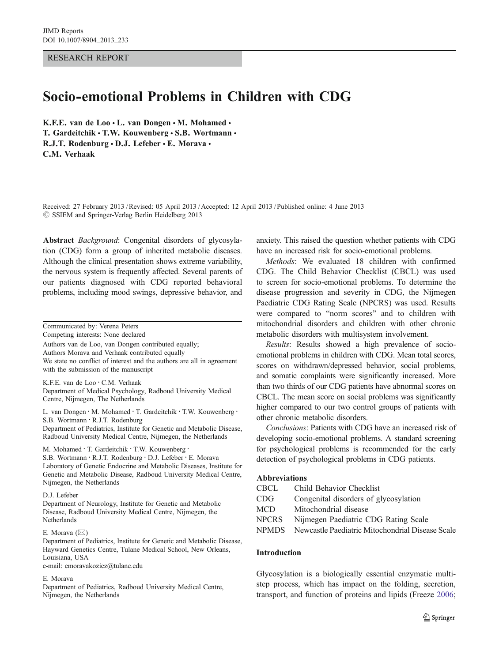RESEARCH REPORT

# Socio-emotional Problems in Children with CDG

K.F.E. van de Loo • L. van Dongen • M. Mohamed • T. Gardeitchik • T.W. Kouwenberg • S.B. Wortmann • R.J.T. Rodenburg • D.J. Lefeber • E. Morava • C.M. Verhaak

Received: 27 February 2013 /Revised: 05 April 2013 /Accepted: 12 April 2013 / Published online: 4 June 2013  $\oslash$  SSIEM and Springer-Verlag Berlin Heidelberg 2013

Abstract Background: Congenital disorders of glycosylation (CDG) form a group of inherited metabolic diseases. Although the clinical presentation shows extreme variability, the nervous system is frequently affected. Several parents of our patients diagnosed with CDG reported behavioral problems, including mood swings, depressive behavior, and

| Communicated by: Verena Peters     |  |  |
|------------------------------------|--|--|
| Competing interests: None declared |  |  |

Authors van de Loo, van Dongen contributed equally; Authors Morava and Verhaak contributed equally We state no conflict of interest and the authors are all in agreement with the submission of the manuscript

K.F.E. van de Loo : C.M. Verhaak

Department of Medical Psychology, Radboud University Medical Centre, Nijmegen, The Netherlands

L. van Dongen : M. Mohamed : T. Gardeitchik : T.W. Kouwenberg : S.B. Wortmann : R.J.T. Rodenburg

Department of Pediatrics, Institute for Genetic and Metabolic Disease, Radboud University Medical Centre, Nijmegen, the Netherlands

M. Mohamed · T. Gardeitchik · T.W. Kouwenberg ·

S.B. Wortmann : R.J.T. Rodenburg : D.J. Lefeber : E. Morava Laboratory of Genetic Endocrine and Metabolic Diseases, Institute for Genetic and Metabolic Disease, Radboud University Medical Centre, Nijmegen, the Netherlands

D.J. Lefeber

Department of Neurology, Institute for Genetic and Metabolic Disease, Radboud University Medical Centre, Nijmegen, the Netherlands

E. Morava  $(\boxtimes)$ 

Department of Pediatrics, Institute for Genetic and Metabolic Disease, Hayward Genetics Centre, Tulane Medical School, New Orleans, Louisiana, USA

e-mail: emoravakozicz@tulane.edu

E. Morava

Department of Pediatrics, Radboud University Medical Centre, Nijmegen, the Netherlands

anxiety. This raised the question whether patients with CDG have an increased risk for socio-emotional problems.

Methods: We evaluated 18 children with confirmed CDG. The Child Behavior Checklist (CBCL) was used to screen for socio-emotional problems. To determine the disease progression and severity in CDG, the Nijmegen Paediatric CDG Rating Scale (NPCRS) was used. Results were compared to "norm scores" and to children with mitochondrial disorders and children with other chronic metabolic disorders with multisystem involvement.

Results: Results showed a high prevalence of socioemotional problems in children with CDG. Mean total scores, scores on withdrawn/depressed behavior, social problems, and somatic complaints were significantly increased. More than two thirds of our CDG patients have abnormal scores on CBCL. The mean score on social problems was significantly higher compared to our two control groups of patients with other chronic metabolic disorders.

Conclusions: Patients with CDG have an increased risk of developing socio-emotional problems. A standard screening for psychological problems is recommended for the early detection of psychological problems in CDG patients.

# Abbreviations

| <b>CBCL</b>  | Child Behavior Checklist                         |
|--------------|--------------------------------------------------|
| CDG          | Congenital disorders of glycosylation            |
| <b>MCD</b>   | Mitochondrial disease                            |
| <b>NPCRS</b> | Nijmegen Paediatric CDG Rating Scale             |
| NPMDS        | Newcastle Paediatric Mitochondrial Disease Scale |
|              |                                                  |

# Introduction

Glycosylation is a biologically essential enzymatic multistep process, which has impact on the folding, secretion, transport, and function of proteins and lipids (Freeze [2006;](#page-8-0)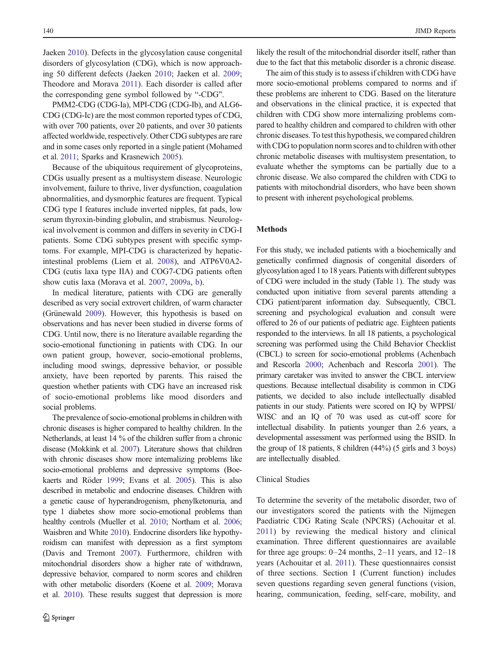Jaeken [2010\)](#page-8-0). Defects in the glycosylation cause congenital disorders of glycosylation (CDG), which is now approaching 50 different defects (Jaeken [2010;](#page-8-0) Jaeken et al. [2009](#page-8-0); Theodore and Morava [2011\)](#page-9-0). Each disorder is called after the corresponding gene symbol followed by "-CDG".

PMM2-CDG (CDG-Ia), MPI-CDG (CDG-Ib), and ALG6- CDG (CDG-Ic) are the most common reported types of CDG, with over 700 patients, over 20 patients, and over 30 patients affected worldwide, respectively. Other CDG subtypes are rare and in some cases only reported in a single patient (Mohamed et al. [2011](#page-8-0); Sparks and Krasnewich [2005](#page-9-0)).

Because of the ubiquitous requirement of glycoproteins, CDGs usually present as a multisystem disease. Neurologic involvement, failure to thrive, liver dysfunction, coagulation abnormalities, and dysmorphic features are frequent. Typical CDG type I features include inverted nipples, fat pads, low serum thyroxin-binding globulin, and strabismus. Neurological involvement is common and differs in severity in CDG-I patients. Some CDG subtypes present with specific symptoms. For example, MPI-CDG is characterized by hepaticintestinal problems (Liem et al. [2008\)](#page-8-0), and ATP6V0A2- CDG (cutis laxa type IIA) and COG7-CDG patients often show cutis laxa (Morava et al. [2007](#page-9-0), [2009a,](#page-9-0) [b](#page-9-0)).

In medical literature, patients with CDG are generally described as very social extrovert children, of warm character (Grünewald [2009](#page-8-0)). However, this hypothesis is based on observations and has never been studied in diverse forms of CDG. Until now, there is no literature available regarding the socio-emotional functioning in patients with CDG. In our own patient group, however, socio-emotional problems, including mood swings, depressive behavior, or possible anxiety, have been reported by parents. This raised the question whether patients with CDG have an increased risk of socio-emotional problems like mood disorders and social problems.

The prevalence of socio-emotional problems in children with chronic diseases is higher compared to healthy children. In the Netherlands, at least 14 % of the children suffer from a chronic disease (Mokkink et al. [2007](#page-8-0)). Literature shows that children with chronic diseases show more internalizing problems like socio-emotional problems and depressive symptoms (Boe-kaerts and Röder [1999](#page-8-0); Evans et al. [2005\)](#page-8-0). This is also described in metabolic and endocrine diseases. Children with a genetic cause of hyperandrogenism, phenylketonuria, and type 1 diabetes show more socio-emotional problems than healthy controls (Mueller et al. [2010](#page-9-0); Northam et al. [2006](#page-9-0); Waisbren and White [2010\)](#page-9-0). Endocrine disorders like hypothyroidism can manifest with depression as a first symptom (Davis and Tremont [2007\)](#page-8-0). Furthermore, children with mitochondrial disorders show a higher rate of withdrawn, depressive behavior, compared to norm scores and children with other metabolic disorders (Koene et al. [2009](#page-8-0); Morava et al. [2010](#page-9-0)). These results suggest that depression is more

likely the result of the mitochondrial disorder itself, rather than due to the fact that this metabolic disorder is a chronic disease.

The aim of this study is to assess if children with CDG have more socio-emotional problems compared to norms and if these problems are inherent to CDG. Based on the literature and observations in the clinical practice, it is expected that children with CDG show more internalizing problems compared to healthy children and compared to children with other chronic diseases. To test this hypothesis, we compared children with CDG to population norm scores and to children with other chronic metabolic diseases with multisystem presentation, to evaluate whether the symptoms can be partially due to a chronic disease. We also compared the children with CDG to patients with mitochondrial disorders, who have been shown to present with inherent psychological problems.

## Methods

For this study, we included patients with a biochemically and genetically confirmed diagnosis of congenital disorders of glycosylation aged 1 to 18 years. Patients with different subtypes of CDG were included in the study (Table [1](#page-2-0)). The study was conducted upon initiative from several parents attending a CDG patient/parent information day. Subsequently, CBCL screening and psychological evaluation and consult were offered to 26 of our patients of pediatric age. Eighteen patients responded to the interviews. In all 18 patients, a psychological screening was performed using the Child Behavior Checklist (CBCL) to screen for socio-emotional problems (Achenbach and Rescorla [2000;](#page-8-0) Achenbach and Rescorla [2001](#page-8-0)). The primary caretaker was invited to answer the CBCL interview questions. Because intellectual disability is common in CDG patients, we decided to also include intellectually disabled patients in our study. Patients were scored on IQ by WPPSI/ WISC and an IQ of 70 was used as cut-off score for intellectual disability. In patients younger than 2.6 years, a developmental assessment was performed using the BSID. In the group of 18 patients, 8 children (44%) (5 girls and 3 boys) are intellectually disabled.

# Clinical Studies

To determine the severity of the metabolic disorder, two of our investigators scored the patients with the Nijmegen Paediatric CDG Rating Scale (NPCRS) (Achouitar et al. [2011](#page-8-0)) by reviewing the medical history and clinical examination. Three different questionnaires are available for three age groups: 0–24 months, 2–11 years, and 12–18 years (Achouitar et al. [2011\)](#page-8-0). These questionnaires consist of three sections. Section I (Current function) includes seven questions regarding seven general functions (vision, hearing, communication, feeding, self-care, mobility, and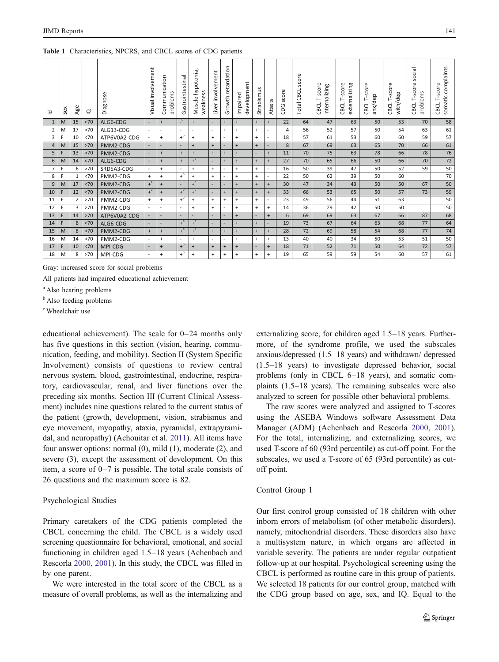| 흐              | Sex | Age            | ₫     | Diagnose     | Visual involvement       | Communication<br>problems | Gastrointestinal         | $\overline{\phantom{a}}$<br>Muscle hypotonia<br>weakness | Liver involvement        | retardation<br>Growth i          | development<br>Impaired | Strabismus               | Ataxia                           | score<br>CDG | score<br>CBCL<br><b>Total</b> | T-score<br>internalizing<br>CBCL | T-score<br>externalizing<br>CBCL | core<br>ଡ଼<br>$anx$ /dep<br>CBCL | -score<br>with/dep<br>CBCL T- | social<br>CBCL T-score<br>problems | somatic complaints<br>T-score<br>CBCL |
|----------------|-----|----------------|-------|--------------|--------------------------|---------------------------|--------------------------|----------------------------------------------------------|--------------------------|----------------------------------|-------------------------|--------------------------|----------------------------------|--------------|-------------------------------|----------------------------------|----------------------------------|----------------------------------|-------------------------------|------------------------------------|---------------------------------------|
| 1              | M   | 15             | <70   | ALG6-CDG     |                          | $+$                       | $\mathbf{P}$             | $+$                                                      | ٠                        | $\ddot{}$                        | $+$                     | $+$                      | $+$                              | 22           | 64                            | 47                               | 63                               | 50                               | 53                            | 70                                 | 58                                    |
| $\overline{2}$ | M   | 17             | >70   | ALG13-CDG    | $\overline{\phantom{a}}$ | ÷                         | $\overline{\phantom{a}}$ |                                                          | $\sim$                   | $\ddot{}$                        | $\ddot{}$               | $^{+}$                   | $\overline{\phantom{a}}$         | 4            | 56                            | 52                               | 57                               | 50                               | 54                            | 63                                 | 61                                    |
| 3              | F   | 10             | <70   | ATP6V0A2-CDG |                          | $\ddot{}$                 | $+^{\rm b}$              | $\ddot{}$                                                | $\ddot{}$                | $\sim$                           | $\ddot{}$               | $^{+}$                   |                                  | 18           | 57                            | 61                               | 53                               | 60                               | 60                            | 59                                 | 57                                    |
| 4              | M   | 15             | $>70$ | PMM2-CDG     |                          |                           |                          | $\ddot{}$                                                | $+$                      | $\overline{\phantom{a}}$         |                         | $+$                      |                                  | 8            | 67                            | 69                               | 63                               | 65                               | 70                            | 66                                 | 61                                    |
| 5              | F   | 13             | $>70$ | PMM2-CDG     | $\sim$                   | $+$                       | $+$                      | $\ddot{}$                                                | $+$                      | $+$                              | $\ddot{}$               | $\overline{\phantom{a}}$ | $+$                              | 11           | 70                            | 75                               | 63                               | 78                               | 66                            | 78                                 | 76                                    |
| 6              | M   | 14             | <70   | ALG6-CDG     | ٠                        | $\ddot{}$                 | $+$                      | $+$ <sup>c</sup>                                         | $\overline{\phantom{a}}$ | $+$                              | $\ddot{}$               | $+$                      | $+$                              | 27           | 70                            | 65                               | 66                               | 50                               | 66                            | 70                                 | 72                                    |
| 7              | F   | 6              | >70   | SRD5A3-CDG   | $\sim$                   | $\ddot{}$                 | $\overline{\phantom{a}}$ | $+$                                                      | $+$                      | $\sim$                           | ÷                       | $\ddot{}$                | ٠                                | 16           | 50                            | 39                               | 47                               | 50                               | 52                            | 59                                 | 50                                    |
| 8              |     | 1              | <70   | PMM2-CDG     | $+$                      | $\ddot{}$                 | $+^{\rm b}$              | $\ddot{}$                                                | $+$                      | $\sim$                           | $\ddot{}$               | $^{+}$                   | ٠                                | 22           | 50                            | 62                               | 39                               | 50                               | 60                            |                                    | 70                                    |
| 9              | M   | 17             | <70   | PMM2-CDG     | $+$ <sup>a</sup>         | $\ddot{}$                 | $\overline{\phantom{a}}$ | $+$ <sup>c</sup>                                         | ٠                        | ٠                                |                         | $+$                      | $+$                              | 30           | 47                            | 34                               | 43                               | 50                               | 50                            | 67                                 | 50                                    |
| 10             | F   | 12             | <70   | PMM2-CDG     | $+$ <sup>a</sup>         | $\ddot{}$                 | $+^{\rm b}$              | $+$ <sup>c</sup>                                         |                          | $\ddot{}$                        |                         | $+$                      | $+$                              | 33           | 66                            | 53                               | 65                               | 50                               | 57                            | 73                                 | 59                                    |
| 11             | p   | $\overline{2}$ | >70   | PMM2-CDG     | $\ddot{}$                | $\overline{+}$            | $+^b$                    | $+$                                                      | $^{+}$                   | $+$                              | $\ddot{}$               | $^{+}$                   | $\overline{\phantom{a}}$         | 23           | 49                            | 56                               | 44                               | 51                               | 63                            |                                    | 50                                    |
| 12             | E   | 3              | >70   | PMM2-CDG     |                          |                           | $\sim$                   | $\ddot{}$                                                | $\ddot{}$                |                                  | $\ddot{}$               | $^{+}$                   | $\ddot{}$                        | 14           | 36                            | 29                               | 42                               | 50                               | 50                            |                                    | 50                                    |
| 13             | F   | 14             | >70   | ATP6V0A2-CDG |                          |                           |                          |                                                          |                          | $\overline{\phantom{a}}$         |                         |                          | $+$                              | 6            | 69                            | 69                               | 63                               | 67                               | 66                            | 87                                 | 68                                    |
| 14             | F   | 8              | <70   | ALG6-CDG     | $\overline{\phantom{a}}$ |                           | $+^{\rm b}$              | $+$ <sup>c</sup>                                         | ÷.                       | $\overline{\phantom{a}}$         |                         | $+$                      | $\overline{\phantom{a}}$         | 19           | 73                            | 67                               | 64                               | 63                               | 68                            | 77                                 | 64                                    |
| 15             | м   | 8              | $>70$ | PMM2-CDG     | $+$                      | $+$                       | $+$ b                    | $+$ <sup>c</sup>                                         | $+$                      | $+$                              | $\ddot{}$               | $+$                      | $+$                              | 28           | 72                            | 69                               | 58                               | 54                               | 68                            | 77                                 | 74                                    |
| 16             | M   | 14             | >70   | PMM2-CDG     | $\sim$                   | $\ddot{}$                 | $\overline{\phantom{a}}$ | $\ddot{}$                                                | $\overline{\phantom{a}}$ | $\sim$                           | $\ddot{}$               | $+$                      | $\ddot{}$                        | 13           | 40                            | 40                               | 34                               | 50                               | 53                            | 51                                 | 50                                    |
| 17             | F   | 10             | <70   | MPI-CDG      | $\overline{\phantom{a}}$ | $+$                       | $+^b$                    | $\ddot{}$                                                | $+$                      | $\begin{array}{c} + \end{array}$ |                         | $\overline{\phantom{a}}$ | $\begin{array}{c} + \end{array}$ | 18           | 71                            | 52                               | 71                               | 50                               | 64                            | 72                                 | 57                                    |
| 18             | M   | 8              | >70   | MPI-CDG      |                          | $\ddot{}$                 | $+$ <sup>b</sup>         | $\ddot{}$                                                | $+$                      | $\ddot{}$                        |                         | $+$                      | $\ddot{}$                        | 19           | 65                            | 59                               | 59                               | 54                               | 60                            | 57                                 | 61                                    |

<span id="page-2-0"></span>Table 1 Characteristics, NPCRS, and CBCL scores of CDG patients

Gray: increased score for social problems

All patients had impaired educational achievement

<sup>a</sup> Also hearing problems

<sup>b</sup> Also feeding problems

<sup>c</sup> Wheelchair use

educational achievement). The scale for 0–24 months only has five questions in this section (vision, hearing, communication, feeding, and mobility). Section II (System Specific Involvement) consists of questions to review central nervous system, blood, gastrointestinal, endocrine, respiratory, cardiovascular, renal, and liver functions over the preceding six months. Section III (Current Clinical Assessment) includes nine questions related to the current status of the patient (growth, development, vision, strabismus and eye movement, myopathy, ataxia, pyramidal, extrapyramidal, and neuropathy) (Achouitar et al. [2011\)](#page-8-0). All items have four answer options: normal (0), mild (1), moderate (2), and severe (3), except the assessment of development. On this item, a score of 0–7 is possible. The total scale consists of 26 questions and the maximum score is 82.

## Psychological Studies

Primary caretakers of the CDG patients completed the CBCL concerning the child. The CBCL is a widely used screening questionnaire for behavioral, emotional, and social functioning in children aged 1.5–18 years (Achenbach and Rescorla [2000](#page-8-0), [2001\)](#page-8-0). In this study, the CBCL was filled in by one parent.

We were interested in the total score of the CBCL as a measure of overall problems, as well as the internalizing and externalizing score, for children aged 1.5–18 years. Furthermore, of the syndrome profile, we used the subscales anxious/depressed (1.5–18 years) and withdrawn/ depressed (1.5–18 years) to investigate depressed behavior, social problems (only in CBCL 6–18 years), and somatic complaints (1.5–18 years). The remaining subscales were also analyzed to screen for possible other behavioral problems.

The raw scores were analyzed and assigned to T-scores using the ASEBA Windows software Assessment Data Manager (ADM) (Achenbach and Rescorla [2000](#page-8-0), [2001\)](#page-8-0). For the total, internalizing, and externalizing scores, we used T-score of 60 (93rd percentile) as cut-off point. For the subscales, we used a T-score of 65 (93rd percentile) as cutoff point.

#### Control Group 1

Our first control group consisted of 18 children with other inborn errors of metabolism (of other metabolic disorders), namely, mitochondrial disorders. These disorders also have a multisystem nature, in which organs are affected in variable severity. The patients are under regular outpatient follow-up at our hospital. Psychological screening using the CBCL is performed as routine care in this group of patients. We selected 18 patients for our control group, matched with the CDG group based on age, sex, and IQ. Equal to the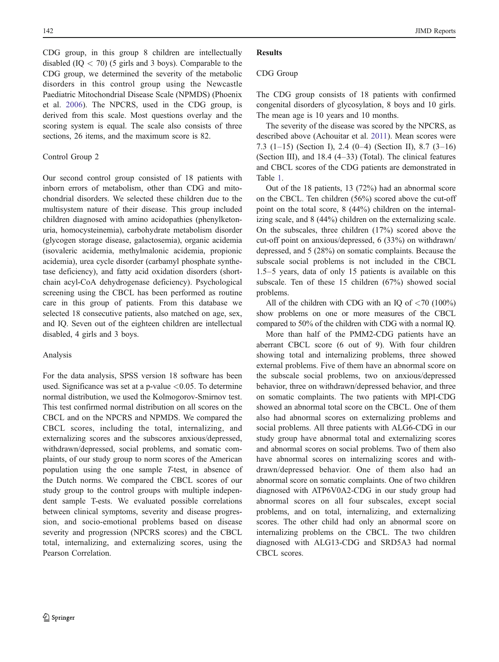CDG group, in this group 8 children are intellectually disabled  $(IQ < 70)$  (5 girls and 3 boys). Comparable to the CDG group, we determined the severity of the metabolic disorders in this control group using the Newcastle Paediatric Mitochondrial Disease Scale (NPMDS) (Phoenix et al. [2006\)](#page-9-0). The NPCRS, used in the CDG group, is derived from this scale. Most questions overlay and the scoring system is equal. The scale also consists of three sections, 26 items, and the maximum score is 82.

## Control Group 2

Our second control group consisted of 18 patients with inborn errors of metabolism, other than CDG and mitochondrial disorders. We selected these children due to the multisystem nature of their disease. This group included children diagnosed with amino acidopathies (phenylketonuria, homocysteinemia), carbohydrate metabolism disorder (glycogen storage disease, galactosemia), organic acidemia (isovaleric acidemia, methylmalonic acidemia, propionic acidemia), urea cycle disorder (carbamyl phosphate synthetase deficiency), and fatty acid oxidation disorders (shortchain acyl-CoA dehydrogenase deficiency). Psychological screening using the CBCL has been performed as routine care in this group of patients. From this database we selected 18 consecutive patients, also matched on age, sex, and IQ. Seven out of the eighteen children are intellectual disabled, 4 girls and 3 boys.

## Analysis

For the data analysis, SPSS version 18 software has been used. Significance was set at a p-value  $\langle 0.05, 0.05 \rangle$  To determine normal distribution, we used the Kolmogorov-Smirnov test. This test confirmed normal distribution on all scores on the CBCL and on the NPCRS and NPMDS. We compared the CBCL scores, including the total, internalizing, and externalizing scores and the subscores anxious/depressed, withdrawn/depressed, social problems, and somatic complaints, of our study group to norm scores of the American population using the one sample T-test, in absence of the Dutch norms. We compared the CBCL scores of our study group to the control groups with multiple independent sample T-ests. We evaluated possible correlations between clinical symptoms, severity and disease progression, and socio-emotional problems based on disease severity and progression (NPCRS scores) and the CBCL total, internalizing, and externalizing scores, using the Pearson Correlation.

## Results

#### CDG Group

The CDG group consists of 18 patients with confirmed congenital disorders of glycosylation, 8 boys and 10 girls. The mean age is 10 years and 10 months.

The severity of the disease was scored by the NPCRS, as described above (Achouitar et al. [2011\)](#page-8-0). Mean scores were 7.3 (1–15) (Section I), 2.4 (0–4) (Section II), 8.7 (3–16) (Section III), and 18.4 (4–33) (Total). The clinical features and CBCL scores of the CDG patients are demonstrated in Table [1](#page-2-0).

Out of the 18 patients, 13 (72%) had an abnormal score on the CBCL. Ten children (56%) scored above the cut-off point on the total score, 8 (44%) children on the internalizing scale, and 8 (44%) children on the externalizing scale. On the subscales, three children (17%) scored above the cut-off point on anxious/depressed, 6 (33%) on withdrawn/ depressed, and 5 (28%) on somatic complaints. Because the subscale social problems is not included in the CBCL 1.5–5 years, data of only 15 patients is available on this subscale. Ten of these 15 children (67%) showed social problems.

All of the children with CDG with an IQ of <70 (100%) show problems on one or more measures of the CBCL compared to 50% of the children with CDG with a normal IQ.

More than half of the PMM2-CDG patients have an aberrant CBCL score (6 out of 9). With four children showing total and internalizing problems, three showed external problems. Five of them have an abnormal score on the subscale social problems, two on anxious/depressed behavior, three on withdrawn/depressed behavior, and three on somatic complaints. The two patients with MPI-CDG showed an abnormal total score on the CBCL. One of them also had abnormal scores on externalizing problems and social problems. All three patients with ALG6-CDG in our study group have abnormal total and externalizing scores and abnormal scores on social problems. Two of them also have abnormal scores on internalizing scores and withdrawn/depressed behavior. One of them also had an abnormal score on somatic complaints. One of two children diagnosed with ATP6V0A2-CDG in our study group had abnormal scores on all four subscales, except social problems, and on total, internalizing, and externalizing scores. The other child had only an abnormal score on internalizing problems on the CBCL. The two children diagnosed with ALG13-CDG and SRD5A3 had normal CBCL scores.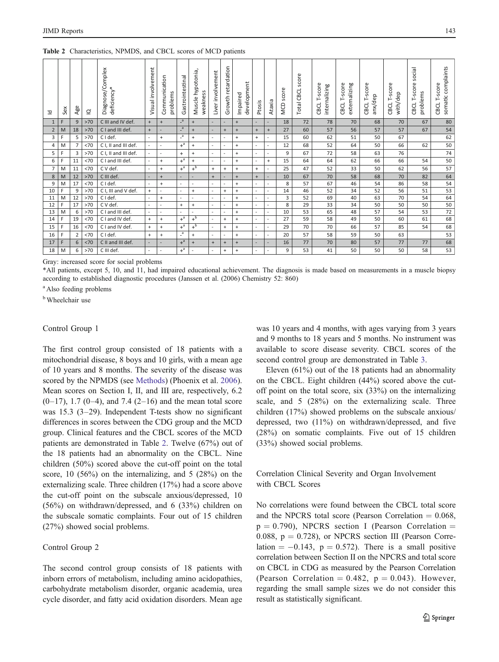| 흐              | Sex | Age            | ₫   | Diagnose/Complex<br>deficiency* | Visual involvement       | Communication<br>problems | Gastrointestinal           | Muscle hypotonia,<br>weakness | Liver involvement                | Growth retardation       | development<br>Impaired          | Ptosis                   | Ataxia                   | score<br>MCD | score<br>Total CBCL | T-score<br>internalizing<br>CBCL <sup>-</sup> | CBCL T-score<br>externalizing | core<br>φ<br>anx/dep<br>۳<br>CBCL | T-score<br>with/dep<br>CBCL <sup>-</sup> | social<br>CBCL T-score<br>problems | somatic complaints<br>-score<br>۳<br>CBCL |
|----------------|-----|----------------|-----|---------------------------------|--------------------------|---------------------------|----------------------------|-------------------------------|----------------------------------|--------------------------|----------------------------------|--------------------------|--------------------------|--------------|---------------------|-----------------------------------------------|-------------------------------|-----------------------------------|------------------------------------------|------------------------------------|-------------------------------------------|
| $\mathbf{1}$   | F   | 9              | >70 | C III and IV def.               | $+$                      | $\ddot{}$                 | $\mathsf{I}^a$             | $\ddot{}$                     | $\overline{\phantom{a}}$         | $\overline{\phantom{a}}$ | $\begin{array}{c} + \end{array}$ |                          | ٠                        | 18           | 72                  | 78                                            | 70                            | 68                                | 70                                       | 67                                 | 80                                        |
| $\overline{2}$ | M   | 18             | >70 | C I and III def.                | $+$                      | ٠                         | $\mathsf{I}^a$             | $+$                           |                                  | $+$                      | $+$                              | $+$                      | $+$                      | 27           | 60                  | 57                                            | 56                            | 57                                | 57                                       | 67                                 | 54                                        |
| 3              | F   | 5              | >70 | C I def.                        | $\bar{a}$                | $+$                       | $\overline{\phantom{a}}^a$ | $\ddot{}$                     | $\overline{\phantom{a}}$         | $\sim$                   | $\ddot{}$                        | $\ddot{}$                | $\sim$                   | 15           | 60                  | 62                                            | 51                            | 50                                | 67                                       |                                    | 62                                        |
| 4              | M   | $\overline{7}$ | <70 | C I, II and III def.            | $\overline{\phantom{a}}$ |                           | $+$ <sup>a</sup>           | $\ddot{}$                     | $\overline{\phantom{a}}$         | ٠                        | $\ddot{}$                        | $\overline{\phantom{a}}$ | ٠                        | 12           | 68                  | 52                                            | 64                            | 50                                | 66                                       | 62                                 | 50                                        |
| 5              | F   | 3              | >70 | C I, II and III def.            | $\overline{\phantom{a}}$ | ÷,                        | $+$                        | $\ddot{}$                     | $\overline{\phantom{a}}$         | $\sim$                   | $\ddot{}$                        | $\overline{\phantom{a}}$ | $\overline{\phantom{a}}$ | 9            | 67                  | 72                                            | 58                            | 63                                | 76                                       |                                    | 74                                        |
| 6              | E   | 11             | <70 | C I and III def.                | $\bar{a}$                | $+$                       | $+$ <sup>a</sup>           | $\ddot{}$                     | $\sim$                           | ٠                        | $\ddot{}$                        | $\overline{\phantom{a}}$ | $+$                      | 15           | 64                  | 64                                            | 62                            | 66                                | 66                                       | 54                                 | 50                                        |
| $\overline{7}$ | M   | 11             | <70 | C V def.                        | ÷.                       | $+$                       | $+$ <sup>a</sup>           | $+^{\rm b}$                   | $\ddot{}$                        | $\ddot{}$                | $\ddot{}$                        | $+$                      | $\overline{\phantom{a}}$ | 25           | 47                  | 52                                            | 33                            | 50                                | 62                                       | 56                                 | 57                                        |
| 8              | M   | 12             | >70 | C III def.                      |                          | $+$                       |                            |                               | $\begin{array}{c} + \end{array}$ |                          | $+$                              | $+$                      |                          | 10           | 67                  | 70                                            | 58                            | 68                                | 70                                       | 82                                 | 64                                        |
| 9              | M   | 17             | <70 | C I def.                        | $\ddot{\phantom{1}}$     | $\ddot{}$                 | $\overline{\phantom{a}}$   | ä,                            |                                  | $\overline{a}$           | $\ddot{}$                        | $\overline{\phantom{a}}$ | $\ddot{\phantom{1}}$     | 8            | 57                  | 67                                            | 46                            | 54                                | 86                                       | 58                                 | 54                                        |
| 10             | F.  | 9              | >70 | C I, III and V def.             | $\ddot{}$                | ٠                         | $\overline{\phantom{a}}$   | $\ddot{}$                     | $\sim$                           | $\ddot{}$                | $\ddot{}$                        | $\overline{\phantom{a}}$ | $\sim$                   | 14           | 46                  | 52                                            | 34                            | 52                                | 56                                       | 51                                 | 53                                        |
| 11             | M   | 12             | >70 | C I def.                        | ÷.                       | $\ddot{}$                 | $\sim$                     | ÷,                            | $\sim$                           | ٠                        | $\ddot{}$                        | $\overline{\phantom{a}}$ | $\overline{\phantom{a}}$ | 3            | 52                  | 69                                            | 40                            | 63                                | 70                                       | 54                                 | 64                                        |
| 12             | F   | 17             | >70 | C V def.                        |                          |                           | $\ddot{}$                  | $\ddot{}$                     | $\sim$                           | ٠                        | $\ddot{}$                        |                          | $\overline{\phantom{a}}$ | 8            | 29                  | 33                                            | 34                            | 50                                | 50                                       | 50                                 | 50                                        |
| 13             | M   | 6              | >70 | C I and III def.                | $\sim$                   | ÷,                        | $\sim$                     | ÷,                            | $\sim$                           | ٠                        | $\ddot{}$                        | $\overline{\phantom{a}}$ | ٠                        | 10           | 53                  | 65                                            | 48                            | 57                                | 54                                       | 53                                 | 72                                        |
| 14             | F   | 19             | <70 | C I and IV def.                 | $\ddot{}$                | $+$                       | $+$ <sup>a</sup>           | $+^{\rm b}$                   | $\sim$                           | $\ddot{}$                | $\ddot{}$                        |                          | $\overline{\phantom{a}}$ | 27           | 59                  | 58                                            | 49                            | 50                                | 60                                       | 61                                 | 68                                        |
| 15             | F   | 16             | <70 | C I and IV def.                 | $+$                      | $+$                       | $+$ <sup>a</sup>           | $+^{b}$                       | $\sim$                           | $\ddot{}$                | $\ddot{}$                        | $\overline{\phantom{a}}$ | ٠                        | 29           | 70                  | 70                                            | 66                            | 57                                | 85                                       | 54                                 | 68                                        |
| 16             | F   | 2              | <70 | C I def.                        | $\ddot{}$                | $\ddot{}$                 | $\mathsf{I}^{\mathsf{a}}$  | $\ddot{}$                     | $\overline{\phantom{a}}$         | ٠                        | $\ddot{}$                        | $\overline{\phantom{a}}$ | ٠                        | 20           | 57                  | 58                                            | 59                            | 50                                | 63                                       |                                    | 53                                        |
| 17             | F   | 6              | <70 | C II and III def.               |                          |                           | $+$ <sup>a</sup>           | $+$                           | $\ddot{}$                        | $+$                      | $+$                              | $\overline{\phantom{a}}$ | ٠                        | 16           | 77                  | 70                                            | 80                            | 57                                | 77                                       | 77                                 | 68                                        |
| 18             | M   | 6              | >70 | C III def.                      | ÷.                       |                           | $+$ <sup>a</sup>           |                               |                                  | $\ddot{}$                | $\ddot{}$                        |                          | ٠                        | 9            | 53                  | 41                                            | 50                            | 50                                | 50                                       | 58                                 | 53                                        |

Table 2 Characteristics, NPMDS, and CBCL scores of MCD patients

Gray: increased score for social problems

\*All patients, except 5, 10, and 11, had impaired educational achievement. The diagnosis is made based on measurements in a muscle biopsy according to established diagnostic procedures (Janssen et al. (2006) Chemistry 52: 860)

<sup>a</sup> Also feeding problems

<sup>b</sup> Wheelchair use

#### Control Group 1

The first control group consisted of 18 patients with a mitochondrial disease, 8 boys and 10 girls, with a mean age of 10 years and 8 months. The severity of the disease was scored by the NPMDS (see Methods) (Phoenix et al. [2006](#page-9-0)). Mean scores on Section I, II, and III are, respectively, 6.2  $(0-17)$ , 1.7  $(0-4)$ , and 7.4  $(2-16)$  and the mean total score was 15.3 (3–29). Independent T-tests show no significant differences in scores between the CDG group and the MCD group. Clinical features and the CBCL scores of the MCD patients are demonstrated in Table 2. Twelve (67%) out of the 18 patients had an abnormality on the CBCL. Nine children (50%) scored above the cut-off point on the total score, 10 (56%) on the internalizing, and 5 (28%) on the externalizing scale. Three children (17%) had a score above the cut-off point on the subscale anxious/depressed, 10 (56%) on withdrawn/depressed, and 6 (33%) children on the subscale somatic complaints. Four out of 15 children (27%) showed social problems.

## Control Group 2

The second control group consists of 18 patients with inborn errors of metabolism, including amino acidopathies, carbohydrate metabolism disorder, organic academia, urea cycle disorder, and fatty acid oxidation disorders. Mean age

was 10 years and 4 months, with ages varying from 3 years and 9 months to 18 years and 5 months. No instrument was available to score disease severity. CBCL scores of the second control group are demonstrated in Table [3.](#page-5-0)

Eleven (61%) out of the 18 patients had an abnormality on the CBCL. Eight children (44%) scored above the cutoff point on the total score, six (33%) on the internalizing scale, and 5 (28%) on the externalizing scale. Three children (17%) showed problems on the subscale anxious/ depressed, two (11%) on withdrawn/depressed, and five (28%) on somatic complaints. Five out of 15 children (33%) showed social problems.

Correlation Clinical Severity and Organ Involvement with CBCL Scores

No correlations were found between the CBCL total score and the NPCRS total score (Pearson Correlation  $= 0.068$ ,  $p = 0.790$ ), NPCRS section I (Pearson Correlation = 0.088,  $p = 0.728$ ), or NPCRS section III (Pearson Correlation  $= -0.143$ ,  $p = 0.572$ ). There is a small positive correlation between Section II on the NPCRS and total score on CBCL in CDG as measured by the Pearson Correlation (Pearson Correlation = 0.482,  $p = 0.043$ ). However, regarding the small sample sizes we do not consider this result as statistically significant.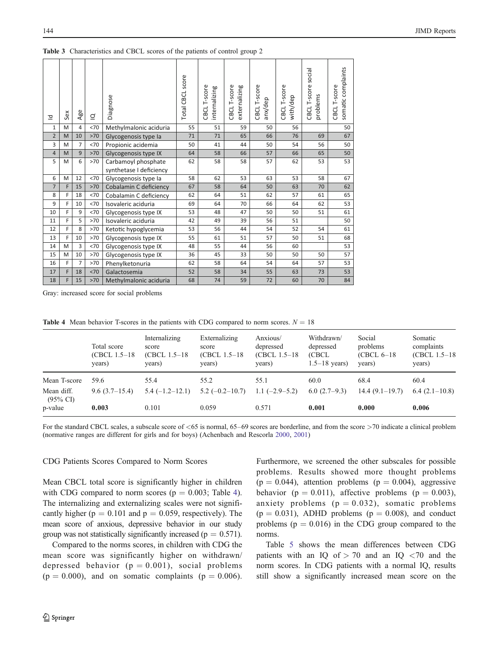| 흐              | Sex | Age            | $\overline{\mathsf{a}}$ | Diagnose                | Total CBCL score | CBCL T-score<br>internalizing | CBCL T-score<br>externalizing | CBCL T-score<br>anx/dep | T-score<br>with/dep<br>CBCL | CBCL T-score social<br>problems | somatic complaints<br>CBCL T-score |
|----------------|-----|----------------|-------------------------|-------------------------|------------------|-------------------------------|-------------------------------|-------------------------|-----------------------------|---------------------------------|------------------------------------|
| $\mathbf{1}$   | M   | 4              | <70                     | Methylmalonic aciduria  | 55               | 51                            | 59                            | 50                      | 56                          |                                 | 50                                 |
| $\overline{2}$ | M   | 10             | $>70$                   | Glycogenosis type la    | 71               | 71                            | 65                            | 66                      | 76                          | 69                              | 67                                 |
| 3              | M   | $\overline{7}$ | <70                     | Propionic acidemia      | 50               | 41                            | 44                            | 50                      | 54                          | 56                              | 50                                 |
| $\overline{4}$ | M   | 9              | $>70$                   | Glycogenosis type IX    | 64               | 58                            | 66                            | 57                      | 66                          | 65                              | 50                                 |
| 5              | M   | 6              | >70                     | Carbamoyl phosphate     | 62               | 58                            | 58                            | 57                      | 62                          | 53                              | 53                                 |
|                |     |                |                         | synthetase I deficiency |                  |                               |                               |                         |                             |                                 |                                    |
| 6              | M   | 12             | <70                     | Glycogenosis type la    | 58               | 62                            | 53                            | 63                      | 53                          | 58                              | 67                                 |
| $\overline{7}$ | F   | 15             | $>70$                   | Cobalamin C deficiency  | 67               | 58                            | 64                            | 50                      | 63                          | 70                              | 62                                 |
| 8              | F   | 18             | <70                     | Cobalamin C deficiency  | 62               | 64                            | 51                            | 62                      | 57                          | 61                              | 65                                 |
| 9              | F   | 10             | <70                     | Isovaleric aciduria     | 69               | 64                            | 70                            | 66                      | 64                          | 62                              | 53                                 |
| 10             | F   | 9              | <70                     | Glycogenosis type IX    | 53               | 48                            | 47                            | 50                      | 50                          | 51                              | 61                                 |
| 11             | F   | 5              | >70                     | Isovaleric aciduria     | 42               | 49                            | 39                            | 56                      | 51                          |                                 | 50                                 |
| 12             | F   | 8              | >70                     | Ketotic hypoglycemia    | 53               | 56                            | 44                            | 54                      | 52                          | 54                              | 61                                 |
| 13             | F   | 10             | >70                     | Glycogenosis type IX    | 55               | 61                            | 51                            | 57                      | 50                          | 51                              | 68                                 |
| 14             | M   | 3              | <70                     | Glycogenosis type IX    | 48               | 55                            | 44                            | 56                      | 60                          |                                 | 53                                 |
| 15             | M   | 10             | >70                     | Glycogenosis type IX    | 36               | 45                            | 33                            | 50                      | 50                          | 50                              | 57                                 |
| 16             | F   | $\overline{7}$ | >70                     | Phenylketonuria         | 62               | 58                            | 64                            | 54                      | 64                          | 57                              | 53                                 |
| 17             | F   | 18             | <70                     | Galactosemia            | 52               | 58                            | 34                            | 55                      | 63                          | 73                              | 53                                 |
| 18             | F   | 15             | $>70$                   | Methylmalonic aciduria  | 68               | 74                            | 59                            | 72                      | 60                          | 70                              | 84                                 |

<span id="page-5-0"></span>Table 3 Characteristics and CBCL scores of the patients of control group 2

Gray: increased score for social problems

**Table 4** Mean behavior T-scores in the patients with CDG compared to norm scores.  $N = 18$ 

|                                   | Total score<br>$(CBCL 1.5-18)$<br>years) | Internalizing<br>score<br>$(CBCL$ 1.5-18<br>years) | Externalizing<br>score<br>$(CBCL$ 1.5-18<br>years) | Anxious/<br>depressed<br>$(CBCL$ 1.5-18<br>years) | Withdrawn/<br>depressed<br>(CBCL)<br>$1.5 - 18$ years) | Social<br>problems<br>$(CBCL 6-18)$<br>years) | Somatic<br>complaints<br>$(CBCL$ 1.5-18<br>years) |
|-----------------------------------|------------------------------------------|----------------------------------------------------|----------------------------------------------------|---------------------------------------------------|--------------------------------------------------------|-----------------------------------------------|---------------------------------------------------|
| Mean T-score                      | 59.6                                     | 55.4                                               | 55.2                                               | 55.1                                              | 60.0                                                   | 68.4                                          | 60.4                                              |
| Mean diff.<br>$(95\% \text{ CI})$ | $9.6(3.7-15.4)$                          | $5.4(-1.2-12.1)$                                   | $5.2(-0.2-10.7)$                                   | $1.1 (-2.9 - 5.2)$                                | $6.0(2.7-9.3)$                                         | $14.4(9.1-19.7)$                              | $6.4(2.1-10.8)$                                   |
| p-value                           | 0.003                                    | 0.101                                              | 0.059                                              | 0.571                                             | 0.001                                                  | 0.000                                         | 0.006                                             |

For the standard CBCL scales, a subscale score of <65 is normal, 65–69 scores are borderline, and from the score >70 indicate a clinical problem (normative ranges are different for girls and for boys) (Achenbach and Rescorla [2000,](#page-8-0) [2001\)](#page-8-0)

#### CDG Patients Scores Compared to Norm Scores

Mean CBCL total score is significantly higher in children with CDG compared to norm scores ( $p = 0.003$ ; Table 4). The internalizing and externalizing scales were not significantly higher ( $p = 0.101$  and  $p = 0.059$ , respectively). The mean score of anxious, depressive behavior in our study group was not statistically significantly increased ( $p = 0.571$ ).

Compared to the norms scores, in children with CDG the mean score was significantly higher on withdrawn/ depressed behavior  $(p = 0.001)$ , social problems  $(p = 0.000)$ , and on somatic complaints  $(p = 0.006)$ .

Furthermore, we screened the other subscales for possible problems. Results showed more thought problems  $(p = 0.044)$ , attention problems  $(p = 0.004)$ , aggressive behavior ( $p = 0.011$ ), affective problems ( $p = 0.003$ ), anxiety problems  $(p = 0.032)$ , somatic problems  $(p = 0.031)$ , ADHD problems  $(p = 0.008)$ , and conduct problems ( $p = 0.016$ ) in the CDG group compared to the norms.

Table [5](#page-6-0) shows the mean differences between CDG patients with an IQ of  $> 70$  and an IQ  $< 70$  and the norm scores. In CDG patients with a normal IQ, results still show a significantly increased mean score on the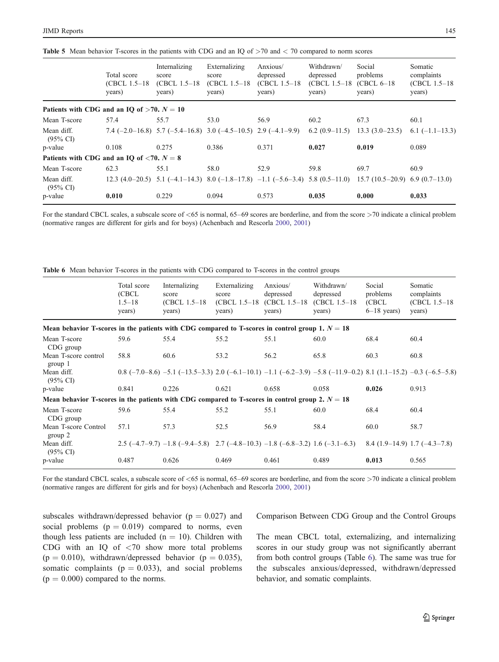|                                                            | Total score<br>(CBCL 1.5-18)<br>years) | Internalizing<br>score<br>$(CBCL$ 1.5-18<br>years)                     | Externalizing<br>score<br>$(CBCL$ 1.5-18<br>years) | Anxious/<br>depressed<br>$(CBCL$ 1.5-18<br>years)                                        | Withdrawn/<br>depressed<br>$(CBCL$ 1.5-18<br>years) | Social<br>problems<br>$(CBCL 6-18)$<br>years) | Somatic<br>complaints<br>$(CBCL$ 1.5-18<br>years) |
|------------------------------------------------------------|----------------------------------------|------------------------------------------------------------------------|----------------------------------------------------|------------------------------------------------------------------------------------------|-----------------------------------------------------|-----------------------------------------------|---------------------------------------------------|
| Patients with CDG and an IQ of $>70$ . $N = 10$            |                                        |                                                                        |                                                    |                                                                                          |                                                     |                                               |                                                   |
| Mean T-score                                               | 57.4                                   | 55.7                                                                   | 53.0                                               | 56.9                                                                                     | 60.2                                                | 67.3                                          | 60.1                                              |
| Mean diff.<br>$(95\% \text{ CI})$                          |                                        | 7.4 $(-2.0-16.8)$ 5.7 $(-5.4-16.8)$ 3.0 $(-4.5-10.5)$ 2.9 $(-4.1-9.9)$ |                                                    |                                                                                          | $6.2(0.9-11.5)$                                     | $13.3(3.0-23.5)$                              | $6.1(-1.1-13.3)$                                  |
| p-value                                                    | 0.108                                  | 0.275                                                                  | 0.386                                              | 0.371                                                                                    | 0.027                                               | 0.019                                         | 0.089                                             |
| Patients with CDG and an IO of $\langle 70, N = 8 \rangle$ |                                        |                                                                        |                                                    |                                                                                          |                                                     |                                               |                                                   |
| Mean T-score                                               | 62.3                                   | 55.1                                                                   | 58.0                                               | 52.9                                                                                     | 59.8                                                | 69.7                                          | 60.9                                              |
| Mean diff.<br>$(95\% \text{ CI})$                          |                                        |                                                                        |                                                    | 12.3 $(4.0-20.5)$ 5.1 $(-4.1-14.3)$ 8.0 $(-1.8-17.8)$ -1.1 $(-5.6-3.4)$ 5.8 $(0.5-11.0)$ |                                                     | $15.7(10.5-20.9)$ 6.9 $(0.7-13.0)$            |                                                   |
| p-value                                                    | 0.010                                  | 0.229                                                                  | 0.094                                              | 0.573                                                                                    | 0.035                                               | 0.000                                         | 0.033                                             |

<span id="page-6-0"></span>Table 5 Mean behavior T-scores in the patients with CDG and an IQ of >70 and < 70 compared to norm scores

For the standard CBCL scales, a subscale score of <65 is normal, 65–69 scores are borderline, and from the score >70 indicate a clinical problem (normative ranges are different for girls and for boys) (Achenbach and Rescorla [2000,](#page-8-0) [2001\)](#page-8-0)

Table 6 Mean behavior T-scores in the patients with CDG compared to T-scores in the control groups

|                                                                                                   | Total score<br>(CBCL)<br>$1.5 - 18$<br>years) | Internalizing<br>score<br>$(CBCL$ 1.5-18<br>years)                                          | Externalizing<br>score<br>(CBCL 1.5-18 (CBCL 1.5-18)<br>years) | Anxious/<br>depressed<br>years) | Withdrawn/<br>depressed<br>$(CBCL$ 1.5-18<br>years)                                                               | Social<br>problems<br>(CBCL)<br>$6-18$ years) | Somatic<br>complaints<br>$(CBCL$ 1.5-18<br>years) |
|---------------------------------------------------------------------------------------------------|-----------------------------------------------|---------------------------------------------------------------------------------------------|----------------------------------------------------------------|---------------------------------|-------------------------------------------------------------------------------------------------------------------|-----------------------------------------------|---------------------------------------------------|
| Mean behavior T-scores in the patients with CDG compared to T-scores in control group 1, $N = 18$ |                                               |                                                                                             |                                                                |                                 |                                                                                                                   |                                               |                                                   |
| Mean T-score<br>CDG group                                                                         | 59.6                                          | 55.4                                                                                        | 55.2                                                           | 55.1                            | 60.0                                                                                                              | 68.4                                          | 60.4                                              |
| Mean T-score control<br>group 1                                                                   | 58.8                                          | 60.6                                                                                        | 53.2                                                           | 56.2                            | 65.8                                                                                                              | 60.3                                          | 60.8                                              |
| Mean diff.<br>$(95\% \text{ CI})$                                                                 |                                               |                                                                                             |                                                                |                                 | $0.8$ (-7.0-8.6) -5.1 (-13.5-3.3) 2.0 (-6.1-10.1) -1.1 (-6.2-3.9) -5.8 (-11.9-0.2) 8.1 (1.1-15.2) -0.3 (-6.5-5.8) |                                               |                                                   |
| p-value                                                                                           | 0.841                                         | 0.226                                                                                       | 0.621                                                          | 0.658                           | 0.058                                                                                                             | 0.026                                         | 0.913                                             |
| Mean behavior T-scores in the patients with CDG compared to T-scores in control group 2. $N = 18$ |                                               |                                                                                             |                                                                |                                 |                                                                                                                   |                                               |                                                   |
| Mean T-score<br>CDG group                                                                         | 59.6                                          | 55.4                                                                                        | 55.2                                                           | 55.1                            | 60.0                                                                                                              | 68.4                                          | 60.4                                              |
| Mean T-score Control<br>group 2                                                                   | 57.1                                          | 57.3                                                                                        | 52.5                                                           | 56.9                            | 58.4                                                                                                              | 60.0                                          | 58.7                                              |
| Mean diff.<br>$(95\% \text{ CI})$                                                                 |                                               | 2.5 $(-4.7-9.7)$ $-1.8$ $(-9.4-5.8)$ 2.7 $(-4.8-10.3)$ $-1.8$ $(-6.8-3.2)$ 1.6 $(-3.1-6.3)$ |                                                                |                                 |                                                                                                                   |                                               | $8.4(1.9-14.9)$ 1.7 $(-4.3-7.8)$                  |
| p-value                                                                                           | 0.487                                         | 0.626                                                                                       | 0.469                                                          | 0.461                           | 0.489                                                                                                             | 0.013                                         | 0.565                                             |

For the standard CBCL scales, a subscale score of <65 is normal, 65–69 scores are borderline, and from the score >70 indicate a clinical problem (normative ranges are different for girls and for boys) (Achenbach and Rescorla [2000,](#page-8-0) [2001\)](#page-8-0)

subscales withdrawn/depressed behavior ( $p = 0.027$ ) and social problems  $(p = 0.019)$  compared to norms, even though less patients are included ( $n = 10$ ). Children with CDG with an IQ of <70 show more total problems  $(p = 0.010)$ , withdrawn/depressed behavior  $(p = 0.035)$ , somatic complaints ( $p = 0.033$ ), and social problems  $(p = 0.000)$  compared to the norms.

Comparison Between CDG Group and the Control Groups

The mean CBCL total, externalizing, and internalizing scores in our study group was not significantly aberrant from both control groups (Table 6). The same was true for the subscales anxious/depressed, withdrawn/depressed behavior, and somatic complaints.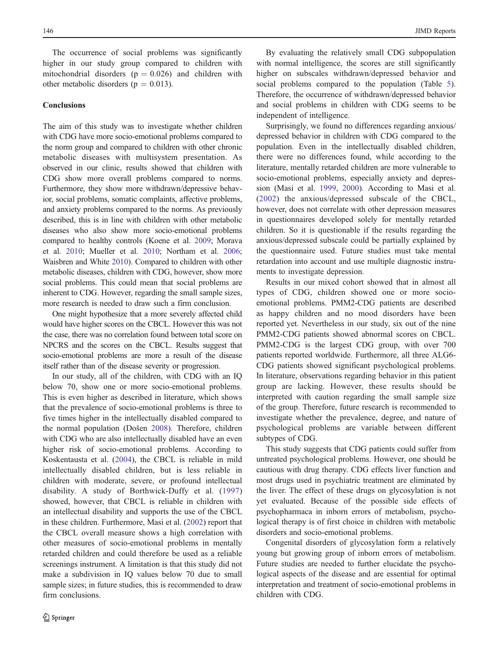The occurrence of social problems was significantly higher in our study group compared to children with mitochondrial disorders ( $p = 0.026$ ) and children with other metabolic disorders ( $p = 0.013$ ).

## **Conclusions**

The aim of this study was to investigate whether children with CDG have more socio-emotional problems compared to the norm group and compared to children with other chronic metabolic diseases with multisystem presentation. As observed in our clinic, results showed that children with CDG show more overall problems compared to norms. Furthermore, they show more withdrawn/depressive behavior, social problems, somatic complaints, affective problems, and anxiety problems compared to the norms. As previously described, this is in line with children with other metabolic diseases who also show more socio-emotional problems compared to healthy controls (Koene et al. [2009;](#page-8-0) Morava et al. [2010](#page-9-0); Mueller et al. [2010](#page-9-0); Northam et al. [2006](#page-9-0); Waisbren and White [2010](#page-9-0)). Compared to children with other metabolic diseases, children with CDG, however, show more social problems. This could mean that social problems are inherent to CDG. However, regarding the small sample sizes, more research is needed to draw such a firm conclusion.

One might hypothesize that a more severely affected child would have higher scores on the CBCL. However this was not the case, there was no correlation found between total score on NPCRS and the scores on the CBCL. Results suggest that socio-emotional problems are more a result of the disease itself rather than of the disease severity or progression.

In our study, all of the children, with CDG with an IQ below 70, show one or more socio-emotional problems. This is even higher as described in literature, which shows that the prevalence of socio-emotional problems is three to five times higher in the intellectually disabled compared to the normal population (Došen [2008\)](#page-8-0). Therefore, children with CDG who are also intellectually disabled have an even higher risk of socio-emotional problems. According to Koskentausta et al. [\(2004](#page-8-0)), the CBCL is reliable in mild intellectually disabled children, but is less reliable in children with moderate, severe, or profound intellectual disability. A study of Borthwick-Duffy et al. [\(1997\)](#page-8-0) showed, however, that CBCL is reliable in children with an intellectual disability and supports the use of the CBCL in these children. Furthermore, Masi et al. ([2002\)](#page-8-0) report that the CBCL overall measure shows a high correlation with other measures of socio-emotional problems in mentally retarded children and could therefore be used as a reliable screenings instrument. A limitation is that this study did not make a subdivision in IQ values below 70 due to small sample sizes; in future studies, this is recommended to draw firm conclusions.

By evaluating the relatively small CDG subpopulation with normal intelligence, the scores are still significantly higher on subscales withdrawn/depressed behavior and social problems compared to the population (Table [5\)](#page-6-0). Therefore, the occurrence of withdrawn/depressed behavior and social problems in children with CDG seems to be independent of intelligence.

Surprisingly, we found no differences regarding anxious/ depressed behavior in children with CDG compared to the population. Even in the intellectually disabled children, there were no differences found, while according to the literature, mentally retarded children are more vulnerable to socio-emotional problems, especially anxiety and depression (Masi et al. [1999](#page-8-0), [2000\)](#page-8-0). According to Masi et al. [\(2002](#page-8-0)) the anxious/depressed subscale of the CBCL, however, does not correlate with other depression measures in questionnaires developed solely for mentally retarded children. So it is questionable if the results regarding the anxious/depressed subscale could be partially explained by the questionnaire used. Future studies must take mental retardation into account and use multiple diagnostic instruments to investigate depression.

Results in our mixed cohort showed that in almost all types of CDG, children showed one or more socioemotional problems. PMM2-CDG patients are described as happy children and no mood disorders have been reported yet. Nevertheless in our study, six out of the nine PMM2-CDG patients showed abnormal scores on CBCL. PMM2-CDG is the largest CDG group, with over 700 patients reported worldwide. Furthermore, all three ALG6- CDG patients showed significant psychological problems. In literature, observations regarding behavior in this patient group are lacking. However, these results should be interpreted with caution regarding the small sample size of the group. Therefore, future research is recommended to investigate whether the prevalence, degree, and nature of psychological problems are variable between different subtypes of CDG.

This study suggests that CDG patients could suffer from untreated psychological problems. However, one should be cautious with drug therapy. CDG effects liver function and most drugs used in psychiatric treatment are eliminated by the liver. The effect of these drugs on glycosylation is not yet evaluated. Because of the possible side effects of psychopharmaca in inborn errors of metabolism, psychological therapy is of first choice in children with metabolic disorders and socio-emotional problems.

Congenital disorders of glycosylation form a relatively young but growing group of inborn errors of metabolism. Future studies are needed to further elucidate the psychological aspects of the disease and are essential for optimal interpretation and treatment of socio-emotional problems in children with CDG.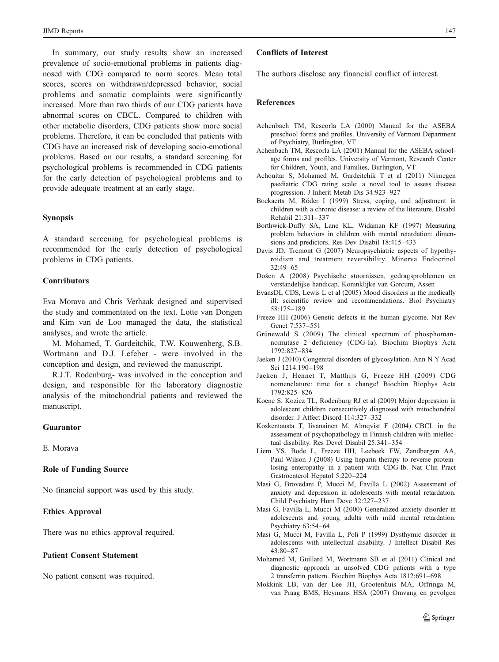<span id="page-8-0"></span>In summary, our study results show an increased prevalence of socio-emotional problems in patients diagnosed with CDG compared to norm scores. Mean total scores, scores on withdrawn/depressed behavior, social problems and somatic complaints were significantly increased. More than two thirds of our CDG patients have abnormal scores on CBCL. Compared to children with other metabolic disorders, CDG patients show more social problems. Therefore, it can be concluded that patients with CDG have an increased risk of developing socio-emotional problems. Based on our results, a standard screening for psychological problems is recommended in CDG patients for the early detection of psychological problems and to provide adequate treatment at an early stage.

## Synopsis

A standard screening for psychological problems is recommended for the early detection of psychological problems in CDG patients.

## **Contributors**

Eva Morava and Chris Verhaak designed and supervised the study and commentated on the text. Lotte van Dongen and Kim van de Loo managed the data, the statistical analyses, and wrote the article.

M. Mohamed, T. Gardeitchik, T.W. Kouwenberg, S.B. Wortmann and D.J. Lefeber - were involved in the conception and design, and reviewed the manuscript.

R.J.T. Rodenburg- was involved in the conception and design, and responsible for the laboratory diagnostic analysis of the mitochondrial patients and reviewed the manuscript.

#### Guarantor

E. Morava

## Role of Funding Source

No financial support was used by this study.

#### Ethics Approval

There was no ethics approval required.

#### Patient Consent Statement

No patient consent was required.

#### Conflicts of Interest

The authors disclose any financial conflict of interest.

#### References

- Achenbach TM, Rescorla LA (2000) Manual for the ASEBA preschool forms and profiles. University of Vermont Department of Psychiatry, Burlington, VT
- Achenbach TM, Rescorla LA (2001) Manual for the ASEBA schoolage forms and profiles. University of Vermont, Research Center for Children, Youth, and Families, Burlington, VT
- Achouitar S, Mohamed M, Gardeitchik T et al (2011) Nijmegen paediatric CDG rating scale: a novel tool to assess disease progression. J Inherit Metab Dis 34:923–927
- Boekaerts M, Röder I (1999) Stress, coping, and adjustment in children with a chronic disease: a review of the literature. Disabil Rehabil 21:311–337
- Borthwick-Duffy SA, Lane KL, Widaman KF (1997) Measuring problem behaviors in children with mental retardation: dimensions and predictors. Res Dev Disabil 18:415–433
- Davis JD, Tremont G (2007) Neuropsychiatric aspects of hypothyroidism and treatment reversibility. Minerva Endocrinol  $32.49 - 65$
- Došen A (2008) Psychische stoornissen, gedragsproblemen en verstandelijke handicap. Koninklijke van Gorcum, Assen
- EvansDL CDS, Lewis L et al (2005) Mood disorders in the medically ill: scientific review and recommendations. Biol Psychiatry 58:175–189
- Freeze HH (2006) Genetic defects in the human glycome. Nat Rev Genet 7:537–551
- Grünewald S (2009) The clinical spectrum of phosphomannomutase 2 deficiency (CDG-Ia). Biochim Biophys Acta 1792:827–834
- Jaeken J (2010) Congenital disorders of glycosylation. Ann N Y Acad Sci 1214:190–198
- Jaeken J, Hennet T, Matthijs G, Freeze HH (2009) CDG nomenclature: time for a change! Biochim Biophys Acta 1792:825–826
- Koene S, Kozicz TL, Rodenburg RJ et al (2009) Major depression in adolescent children consecutively diagnosed with mitochondrial disorder. J Affect Disord 114:327–332
- Koskentausta T, Iivanainen M, Almqvist F (2004) CBCL in the assessment of psychopathology in Finnish children with intellectual disability. Res Devel Disabil 25:341–354
- Liem YS, Bode L, Freeze HH, Leebeek FW, Zandbergen AA, Paul Wilson J (2008) Using heparin therapy to reverse proteinlosing enteropathy in a patient with CDG-Ib. Nat Clin Pract Gastroenterol Hepatol 5:220–224
- Masi G, Brovedani P, Mucci M, Favilla L (2002) Assessment of anxiety and depression in adolescents with mental retardation. Child Psychiatry Hum Deve 32:227–237
- Masi G, Favilla L, Mucci M (2000) Generalized anxiety disorder in adolescents and young adults with mild mental retardation. Psychiatry 63:54–64
- Masi G, Mucci M, Favilla L, Poli P (1999) Dysthymic disorder in adolescents with intellectual disability. J Intellect Disabil Res 43:80–87
- Mohamed M, Guillard M, Wortmann SB et al (2011) Clinical and diagnostic approach in unsolved CDG patients with a type 2 transferrin pattern. Biochim Biophys Acta 1812:691–698
- Mokkink LB, van der Lee JH, Grootenhuis MA, Offringa M, van Praag BMS, Heymans HSA (2007) Omvang en gevolgen